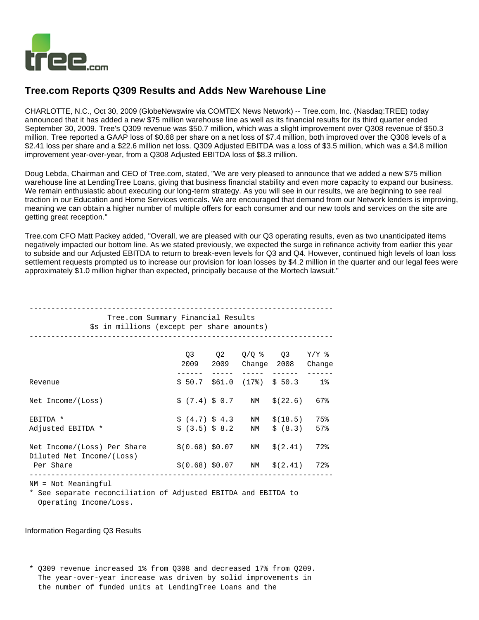

# **Tree.com Reports Q309 Results and Adds New Warehouse Line**

CHARLOTTE, N.C., Oct 30, 2009 (GlobeNewswire via COMTEX News Network) -- Tree.com, Inc. (Nasdaq:TREE) today announced that it has added a new \$75 million warehouse line as well as its financial results for its third quarter ended September 30, 2009. Tree's Q309 revenue was \$50.7 million, which was a slight improvement over Q308 revenue of \$50.3 million. Tree reported a GAAP loss of \$0.68 per share on a net loss of \$7.4 million, both improved over the Q308 levels of a \$2.41 loss per share and a \$22.6 million net loss. Q309 Adjusted EBITDA was a loss of \$3.5 million, which was a \$4.8 million improvement year-over-year, from a Q308 Adjusted EBITDA loss of \$8.3 million.

Doug Lebda, Chairman and CEO of Tree.com, stated, "We are very pleased to announce that we added a new \$75 million warehouse line at LendingTree Loans, giving that business financial stability and even more capacity to expand our business. We remain enthusiastic about executing our long-term strategy. As you will see in our results, we are beginning to see real traction in our Education and Home Services verticals. We are encouraged that demand from our Network lenders is improving, meaning we can obtain a higher number of multiple offers for each consumer and our new tools and services on the site are getting great reception."

Tree.com CFO Matt Packey added, "Overall, we are pleased with our Q3 operating results, even as two unanticipated items negatively impacted our bottom line. As we stated previously, we expected the surge in refinance activity from earlier this year to subside and our Adjusted EBITDA to return to break-even levels for Q3 and Q4. However, continued high levels of loan loss settlement requests prompted us to increase our provision for loan losses by \$4.2 million in the quarter and our legal fees were approximately \$1.0 million higher than expected, principally because of the Mortech lawsuit."

| Tree.com Summary Financial Results<br>\$s in millions (except per share amounts)      |                                  |  |          |                                               |            |  |  |  |  |  |
|---------------------------------------------------------------------------------------|----------------------------------|--|----------|-----------------------------------------------|------------|--|--|--|--|--|
|                                                                                       |                                  |  |          | Q3 Q2 Q/Q % Q3 Y/Y %<br>2009 2009 Change 2008 | Change     |  |  |  |  |  |
| Revenue                                                                               |                                  |  |          | $$50.7$ $$61.0$ $(17%)$ $$50.3$ 1%            |            |  |  |  |  |  |
| Net Income/(Loss)                                                                     | \$(7.4) \$0.7                    |  | NM       | \$(22.6)                                      | 67%        |  |  |  |  |  |
| EBITDA *<br>Adjusted EBITDA *                                                         | \$(4.7) \$4.3<br>\$(3.5) \$8.2\$ |  | NM<br>NM | \$(18.5)<br>\$ (8.3)                          | 75%<br>57% |  |  |  |  |  |
| Net Income/(Loss) Per Share<br>Diluted Net Income/(Loss)<br>Per Share                 | \$(0.68) \$0.07                  |  | NM       | \$(2.41)<br>$$(0.68) $0.07$ NM $$(2.41)$      | 72%<br>72% |  |  |  |  |  |
| NM = Not Meaningful<br>* See separate reconciliation of Adjusted EBITDA and EBITDA to |                                  |  |          |                                               |            |  |  |  |  |  |

Operating Income/Loss.

## Information Regarding Q3 Results

 \* Q309 revenue increased 1% from Q308 and decreased 17% from Q209. The year-over-year increase was driven by solid improvements in the number of funded units at LendingTree Loans and the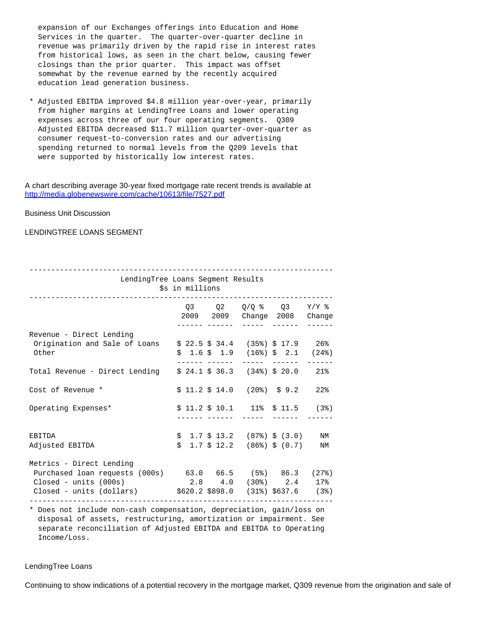expansion of our Exchanges offerings into Education and Home Services in the quarter. The quarter-over-quarter decline in revenue was primarily driven by the rapid rise in interest rates from historical lows, as seen in the chart below, causing fewer closings than the prior quarter. This impact was offset somewhat by the revenue earned by the recently acquired education lead generation business.

 \* Adjusted EBITDA improved \$4.8 million year-over-year, primarily from higher margins at LendingTree Loans and lower operating expenses across three of our four operating segments. Q309 Adjusted EBITDA decreased \$11.7 million quarter-over-quarter as consumer request-to-conversion rates and our advertising spending returned to normal levels from the Q209 levels that were supported by historically low interest rates.

### A chart describing average 30-year fixed mortgage rate recent trends is available at <http://media.globenewswire.com/cache/10613/file/7527.pdf>

Business Unit Discussion

# LENDINGTREE LOANS SEGMENT

| LendingTree Loans Segment Results                                                                                                                                                                       | \$s in millions |  |                                                                                        |                   |
|---------------------------------------------------------------------------------------------------------------------------------------------------------------------------------------------------------|-----------------|--|----------------------------------------------------------------------------------------|-------------------|
|                                                                                                                                                                                                         |                 |  | $Q3$ $Q2$ $Q/Q$ $\frac{8}{8}$ $Q3$ $Y/Y$ $\frac{8}{8}$<br>2009 2009 Change 2008 Change |                   |
| Revenue - Direct Lending<br>Origination and Sale of Loans $$22.5 $34.4$ (35%) \$17.9 26%<br>Other                                                                                                       |                 |  | $$1.6 \$1.9 \(16\%) \$2.1 \(24\%)$<br>------ ------ ----- ------ ------                |                   |
| Total Revenue - Direct Lending                                                                                                                                                                          |                 |  | $$24.1 \$36.3$ $(34%) \$20.0$ $21%$                                                    |                   |
| Cost of Revenue *                                                                                                                                                                                       |                 |  | $$11.2$ $$14.0$ (20%) $$9.2$                                                           | $22$ $\,^{\circ}$ |
| Operating Expenses*                                                                                                                                                                                     |                 |  | $$11.2$ $$10.1$ 11% $$11.5$ (3%)                                                       |                   |
| EBITDA<br>Adjusted EBITDA                                                                                                                                                                               |                 |  | $$1.7 \$13.2$ (87%) $$ (3.0)$ NM<br>$$1.7 \$12.2$ (86%) $$ (0.7)$ NM                   |                   |
| Metrics - Direct Lending<br>Purchased loan requests (000s) 63.0 66.5 (5%) 86.3 (27%)<br>Closed - units (000s) $2.8$ 4.0 (30%) $2.4$ 17%<br>Closed - units (dollars) $$620.2$898.0$ $(31%)$637.6$ $(3%)$ |                 |  |                                                                                        |                   |

 \* Does not include non-cash compensation, depreciation, gain/loss on disposal of assets, restructuring, amortization or impairment. See separate reconciliation of Adjusted EBITDA and EBITDA to Operating Income/Loss.

## LendingTree Loans

Continuing to show indications of a potential recovery in the mortgage market, Q309 revenue from the origination and sale of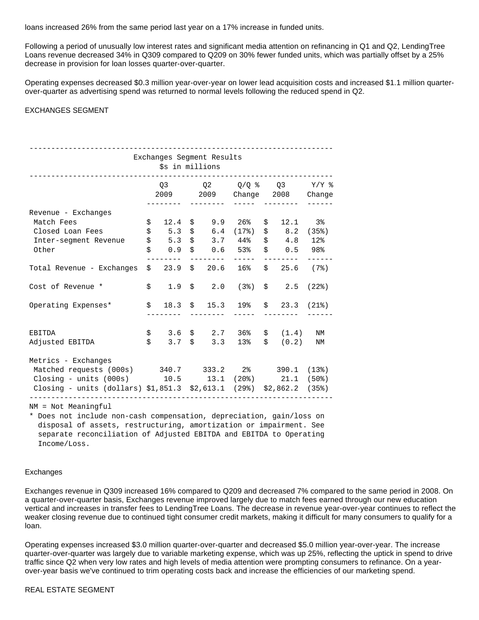loans increased 26% from the same period last year on a 17% increase in funded units.

Following a period of unusually low interest rates and significant media attention on refinancing in Q1 and Q2, LendingTree Loans revenue decreased 34% in Q309 compared to Q209 on 30% fewer funded units, which was partially offset by a 25% decrease in provision for loan losses quarter-over-quarter.

Operating expenses decreased \$0.3 million year-over-year on lower lead acquisition costs and increased \$1.1 million quarterover-quarter as advertising spend was returned to normal levels following the reduced spend in Q2.

# EXCHANGES SEGMENT

| Exchanges Segment Results                                              |    |                |  |      |                    |    |                                                                                                                                            |           |  |  |
|------------------------------------------------------------------------|----|----------------|--|------|--------------------|----|--------------------------------------------------------------------------------------------------------------------------------------------|-----------|--|--|
| \$s in millions                                                        |    |                |  |      |                    |    |                                                                                                                                            |           |  |  |
|                                                                        |    |                |  |      |                    |    |                                                                                                                                            |           |  |  |
|                                                                        |    | O <sub>3</sub> |  |      |                    |    | Q2 Q/Q % Q3 Y/Y %                                                                                                                          |           |  |  |
|                                                                        |    |                |  |      |                    |    | 2009  2009  Change  2008  Change                                                                                                           |           |  |  |
|                                                                        |    |                |  |      |                    |    |                                                                                                                                            |           |  |  |
| Revenue - Exchanges                                                    |    |                |  |      |                    |    |                                                                                                                                            |           |  |  |
| Match Fees                                                             | \$ | 12.4           |  |      | $$9.9$ 26%         | \$ | $12.1$ 3%                                                                                                                                  |           |  |  |
| Closed Loan Fees                                                       | \$ | 5.3            |  |      | $$6.4$ $(17)$      |    | $$8.2$ (35%)                                                                                                                               |           |  |  |
| Inter-segment Revenue                                                  | \$ | 5.3            |  |      | $$3.7$ 44%         |    | $$4.8$ 12%                                                                                                                                 |           |  |  |
| Other                                                                  | \$ | 0.9            |  |      | $$0.6$ 53%         |    | $$0.5$ 98%                                                                                                                                 |           |  |  |
|                                                                        |    |                |  | $ -$ |                    |    |                                                                                                                                            |           |  |  |
| Total Revenue - Exchanges                                              |    | \$23.9         |  |      | $$20.6$ 16%        |    | $$25.6$ (7%)                                                                                                                               |           |  |  |
|                                                                        |    |                |  |      |                    |    |                                                                                                                                            |           |  |  |
| Cost of Revenue *                                                      |    |                |  |      |                    |    | $\begin{array}{ccccccccc}\n\text{\^{S}} & 1.9 & \text{\^{S}} & 2.0 & (3\text{\^{S}}) & \text{\^{S}} & 2.5 & (22\text{\^{S}})\n\end{array}$ |           |  |  |
|                                                                        |    |                |  |      |                    |    |                                                                                                                                            |           |  |  |
| Operating Expenses*                                                    |    |                |  |      |                    |    | $\frac{18.3}{5}$ $\frac{15.3}{19}$ $\frac{19}{5}$ $\frac{23.3}{13}$ $\frac{21}{5}$                                                         |           |  |  |
|                                                                        |    |                |  |      |                    |    |                                                                                                                                            |           |  |  |
|                                                                        |    |                |  |      |                    |    |                                                                                                                                            |           |  |  |
| EBITDA                                                                 |    |                |  |      | $$3.6$ \$ 2.7 36%  |    | \$ (1.4)                                                                                                                                   | <b>NM</b> |  |  |
| Adjusted EBITDA                                                        |    |                |  |      | $$3.7 \t$3.3 \t13$ |    | \$ (0.2)                                                                                                                                   | ΝM        |  |  |
|                                                                        |    |                |  |      |                    |    |                                                                                                                                            |           |  |  |
| Metrics - Exchanges                                                    |    |                |  |      |                    |    |                                                                                                                                            |           |  |  |
| Matched requests (000s) 340.7 333.2 2% 390.1 (13%)                     |    |                |  |      |                    |    |                                                                                                                                            |           |  |  |
| Closing - units (000s) $10.5$ 13.1 (20%) $21.1$ (50%)                  |    |                |  |      |                    |    |                                                                                                                                            |           |  |  |
| Closing - units (dollars) $$1,851.3$ $$2,613.1$ (29%) $$2,862.2$ (35%) |    |                |  |      |                    |    |                                                                                                                                            |           |  |  |
|                                                                        |    |                |  |      |                    |    |                                                                                                                                            |           |  |  |

NM = Not Meaningful

 \* Does not include non-cash compensation, depreciation, gain/loss on disposal of assets, restructuring, amortization or impairment. See separate reconciliation of Adjusted EBITDA and EBITDA to Operating Income/Loss.

#### Exchanges

Exchanges revenue in Q309 increased 16% compared to Q209 and decreased 7% compared to the same period in 2008. On a quarter-over-quarter basis, Exchanges revenue improved largely due to match fees earned through our new education vertical and increases in transfer fees to LendingTree Loans. The decrease in revenue year-over-year continues to reflect the weaker closing revenue due to continued tight consumer credit markets, making it difficult for many consumers to qualify for a loan.

Operating expenses increased \$3.0 million quarter-over-quarter and decreased \$5.0 million year-over-year. The increase quarter-over-quarter was largely due to variable marketing expense, which was up 25%, reflecting the uptick in spend to drive traffic since Q2 when very low rates and high levels of media attention were prompting consumers to refinance. On a yearover-year basis we've continued to trim operating costs back and increase the efficiencies of our marketing spend.

# REAL ESTATE SEGMENT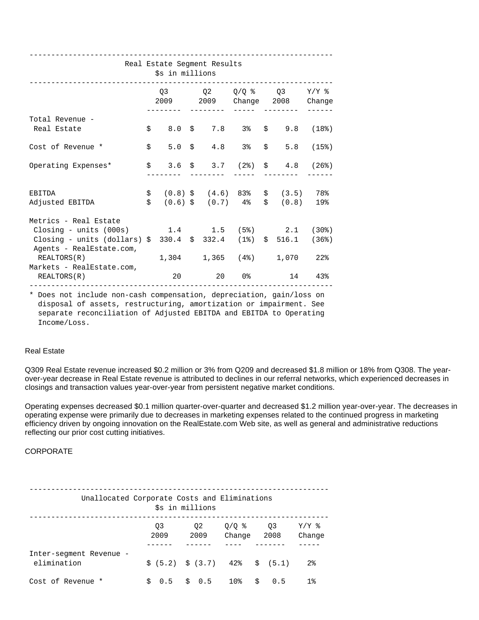---------------------------------------------------------------------- Real Estate Segment Results \$s in millions ----------------------------------------------------------------------  $Q3$   $Q2$   $Q/Q$   $\frac{2}{8}$   $Q3$   $Y/Y$   $\frac{2}{8}$  2009 2009 Change 2008 Change -------- -------- ----- -------- ------ Total Revenue - Real Estate  $\begin{array}{cccc} \xi & 8.0 & \xi & 7.8 & 3 & \xi & 9.8 & (18) \\ \end{array}$ Cost of Revenue \*  $$ 5.0 \$ 4.8 3\% \$ 5.8 (15\%)$  Operating Expenses\* \$ 3.6 \$ 3.7 (2%) \$ 4.8 (26%) -------- -------- ----- -------- ------ EBITDA \$ (0.8) \$ (4.6) 83% \$ (3.5) 78% Adjusted EBITDA  $$ (0.6) $ (0.7) $ 4\% $ (0.8) $ 19\% $$  Metrics - Real Estate Closing - units (000s) 1.4 1.5 (5%) 2.1 (30%) Closing - units (dollars) \$ 330.4 \$ 332.4 (1%) \$ 516.1 (36%) Agents - RealEstate.com, REALTORS(R) 1,304 1,365 (4%) 1,070 22% Markets - RealEstate.com, REALTORS(R) 20 20 0% 14 43% ---------------------------------------------------------------------- \* Does not include non-cash compensation, depreciation, gain/loss on disposal of assets, restructuring, amortization or impairment. See separate reconciliation of Adjusted EBITDA and EBITDA to Operating

Income/Loss.

## Real Estate

Q309 Real Estate revenue increased \$0.2 million or 3% from Q209 and decreased \$1.8 million or 18% from Q308. The yearover-year decrease in Real Estate revenue is attributed to declines in our referral networks, which experienced decreases in closings and transaction values year-over-year from persistent negative market conditions.

Operating expenses decreased \$0.1 million quarter-over-quarter and decreased \$1.2 million year-over-year. The decreases in operating expense were primarily due to decreases in marketing expenses related to the continued progress in marketing efficiency driven by ongoing innovation on the RealEstate.com Web site, as well as general and administrative reductions reflecting our prior cost cutting initiatives.

# CORPORATE

| Unallocated Corporate Costs and Eliminations<br>\$s in millions |            |                                         |                   |            |                   |  |  |  |  |  |
|-----------------------------------------------------------------|------------|-----------------------------------------|-------------------|------------|-------------------|--|--|--|--|--|
|                                                                 | O3<br>2009 | 02<br>2009                              | $0/O$ %<br>Change | 03<br>2008 | $Y/Y$ %<br>Change |  |  |  |  |  |
| Inter-segment Revenue -<br>elimination                          |            | $\sin(5.2)$ $\sin(3.7)$ 42% $\sin(5.1)$ |                   |            | $2\,$             |  |  |  |  |  |
| Cost of Revenue *                                               |            | $0.5$ \$ 0.5                            | 10%               | Ŝ.<br>0.5  | $1\,$             |  |  |  |  |  |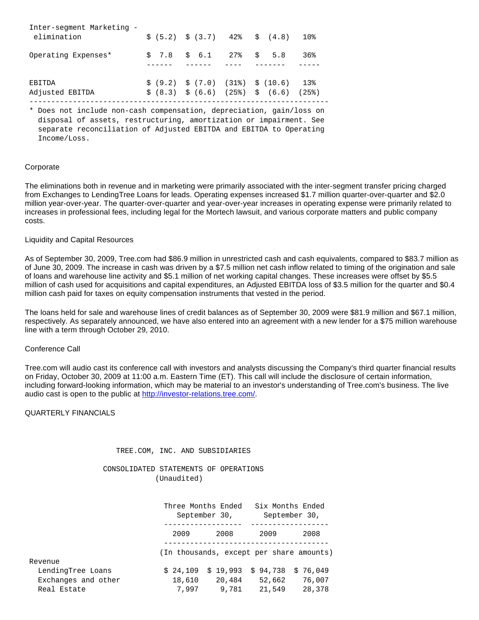| Inter-segment Marketing -<br>elimination |  | $\frac{1}{2}$ (5.2) $\frac{1}{2}$ (3.7) 42% $\frac{1}{2}$ (4.8)         | 10%    |
|------------------------------------------|--|-------------------------------------------------------------------------|--------|
| Operating Expenses*                      |  | $$7.8$ $$6.1$ $27\%$ $$5.8$                                             | $36\%$ |
| EBITDA                                   |  | $\frac{1}{2}$ (9.2) $\frac{1}{2}$ (7.0) (31%) $\frac{1}{2}$ (10.6)      | $13\%$ |
| Adjusted EBITDA                          |  | $\frac{1}{5}$ (8.3) $\frac{1}{5}$ (6.6) (25%) $\frac{1}{5}$ (6.6) (25%) |        |

 \* Does not include non-cash compensation, depreciation, gain/loss on disposal of assets, restructuring, amortization or impairment. See separate reconciliation of Adjusted EBITDA and EBITDA to Operating Income/Loss.

# Corporate

The eliminations both in revenue and in marketing were primarily associated with the inter-segment transfer pricing charged from Exchanges to LendingTree Loans for leads. Operating expenses increased \$1.7 million quarter-over-quarter and \$2.0 million year-over-year. The quarter-over-quarter and year-over-year increases in operating expense were primarily related to increases in professional fees, including legal for the Mortech lawsuit, and various corporate matters and public company costs.

### Liquidity and Capital Resources

As of September 30, 2009, Tree.com had \$86.9 million in unrestricted cash and cash equivalents, compared to \$83.7 million as of June 30, 2009. The increase in cash was driven by a \$7.5 million net cash inflow related to timing of the origination and sale of loans and warehouse line activity and \$5.1 million of net working capital changes. These increases were offset by \$5.5 million of cash used for acquisitions and capital expenditures, an Adjusted EBITDA loss of \$3.5 million for the quarter and \$0.4 million cash paid for taxes on equity compensation instruments that vested in the period.

The loans held for sale and warehouse lines of credit balances as of September 30, 2009 were \$81.9 million and \$67.1 million, respectively. As separately announced, we have also entered into an agreement with a new lender for a \$75 million warehouse line with a term through October 29, 2010.

## Conference Call

Tree.com will audio cast its conference call with investors and analysts discussing the Company's third quarter financial results on Friday, October 30, 2009 at 11:00 a.m. Eastern Time (ET). This call will include the disclosure of certain information, including forward-looking information, which may be material to an investor's understanding of Tree.com's business. The live audio cast is open to the public at <http://investor-relations.tree.com/>.

# QUARTERLY FINANCIALS

### TREE.COM, INC. AND SUBSIDIARIES

 CONSOLIDATED STATEMENTS OF OPERATIONS (Unaudited)

|                     |          | Three Months Ended<br>September 30,      |          | Six Months Ended<br>September 30, |
|---------------------|----------|------------------------------------------|----------|-----------------------------------|
|                     | 2009     | 2008                                     | 2009     | 2008                              |
|                     |          | (In thousands, except per share amounts) |          |                                   |
| Revenue             |          |                                          |          |                                   |
| LendingTree Loans   | \$24,109 | \$19.993                                 | \$94.738 | \$76,049                          |
| Exchanges and other | 18,610   | 20,484                                   | 52,662   | 76,007                            |
| Real Estate         | 7,997    | 9,781                                    | 21,549   | 28,378                            |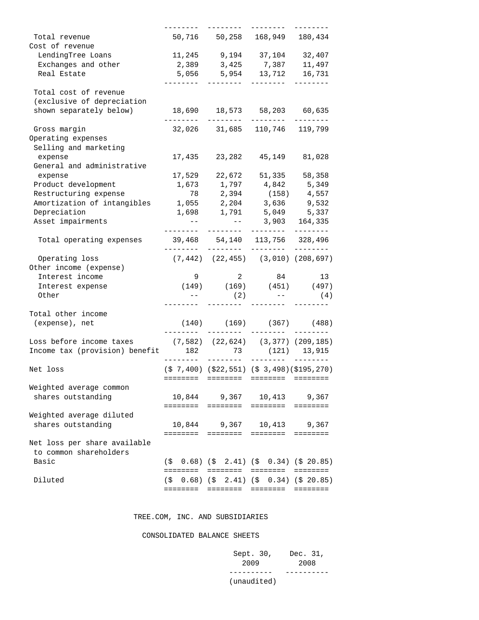| Total revenue<br>Cost of revenue                            |           | 50,716 50,258 168,949 180,434                                                                                |                                   |                   |
|-------------------------------------------------------------|-----------|--------------------------------------------------------------------------------------------------------------|-----------------------------------|-------------------|
| LendingTree Loans                                           |           | 11, 245 9, 194 37, 104 32, 407                                                                               |                                   |                   |
| Exchanges and other                                         |           | 2,389 3,425 7,387 11,497                                                                                     |                                   |                   |
| Real Estate                                                 |           | 5,056 5,954 13,712 16,731                                                                                    |                                   |                   |
|                                                             |           |                                                                                                              |                                   |                   |
| Total cost of revenue                                       |           |                                                                                                              |                                   |                   |
| (exclusive of depreciation                                  |           |                                                                                                              |                                   |                   |
| shown separately below)                                     |           | 18,690 18,573 58,203 60,635                                                                                  |                                   |                   |
|                                                             |           |                                                                                                              | ----------                        |                   |
| Gross margin                                                |           | 32,026 31,685 110,746 119,799                                                                                |                                   |                   |
| Operating expenses                                          |           |                                                                                                              |                                   |                   |
| Selling and marketing                                       |           |                                                                                                              |                                   |                   |
| expense                                                     | 17,435    |                                                                                                              | 23,282 45,149                     | 81,028            |
| General and administrative                                  |           |                                                                                                              |                                   |                   |
| expense                                                     | 17,529    |                                                                                                              | 22,672 51,335 58,358              |                   |
| Product development                                         |           | 1,673 1,797 4,842 5,349                                                                                      |                                   |                   |
| Restructuring expense                                       | 78        | 2,394                                                                                                        |                                   | $(158)$ 4,557     |
| Amortization of intangibles                                 | 1,055     | 2,204                                                                                                        | 3,636                             | 9,532             |
| Depreciation                                                |           | 1,698 1,791 5,049 5,337                                                                                      |                                   |                   |
| Asset impairments                                           |           |                                                                                                              |                                   | 3,903 164,335     |
|                                                             | --------  |                                                                                                              | ________                          | $- - - - - - - -$ |
| Total operating expenses                                    | .         | 39,468 54,140 113,756 328,496                                                                                | . _ _ _ _ _ _ _                   | ---------         |
| Operating loss<br>Other income (expense)                    |           | $(7,442)$ $(22,455)$ $(3,010)$ $(208,697)$                                                                   |                                   |                   |
|                                                             |           |                                                                                                              | 84 13                             |                   |
| Interest income                                             | 9         | $2^{\circ}$<br>$(149)$ $(169)$ $(451)$ $(497)$                                                               |                                   |                   |
| Interest expense                                            |           |                                                                                                              |                                   |                   |
| Other                                                       | $  \,$    | (2)                                                                                                          | <b>Service Contract</b>           | (4)               |
| Total other income                                          |           |                                                                                                              |                                   |                   |
| (expense), net                                              |           | $(140)$ $(169)$ $(367)$ $(488)$                                                                              |                                   |                   |
|                                                             |           |                                                                                                              | .________    _________      _____ |                   |
| Loss before income taxes (7,582) (22,624) (3,377) (209,185) |           |                                                                                                              |                                   |                   |
| Income tax (provision) benefit 182 73 (121) 13,915          |           | ________                                                                                                     |                                   |                   |
| Net loss                                                    | $- - - -$ | $(5 7, 400)$ $(522, 551)$ $(5 3, 498)$ $(5195, 270)$                                                         |                                   |                   |
|                                                             | ========  | $\qquad \qquad \equiv \equiv \equiv \equiv \equiv \equiv \equiv \equiv$                                      | ========                          | $=$ = = = = = = = |
| Weighted average common                                     |           |                                                                                                              |                                   |                   |
| shares outstanding                                          |           | 10,844 9,367                                                                                                 |                                   | 10,413 9,367      |
|                                                             |           |                                                                                                              |                                   |                   |
| Weighted average diluted                                    |           |                                                                                                              |                                   |                   |
| shares outstanding                                          |           | 10,844 9,367                                                                                                 | 10,413                            | 9,367             |
|                                                             |           | ======== ========                                                                                            |                                   |                   |
| Net loss per share available                                |           |                                                                                                              |                                   |                   |
| to common shareholders                                      |           |                                                                                                              |                                   |                   |
| Basic                                                       |           | $(\frac{1}{2} \quad 0.68)$ $(\frac{1}{2} \quad 2.41)$ $(\frac{1}{2} \quad 0.34)$ $(\frac{1}{2} \quad 20.85)$ |                                   |                   |
|                                                             |           | ======== ========= ======== ========                                                                         |                                   |                   |
| Diluted                                                     |           | $(\frac{1}{2}, 0.68)$ $(\frac{1}{2}, 2.41)$ $(\frac{1}{2}, 0.34)$ $(\frac{1}{2}, 20.85)$                     |                                   |                   |
|                                                             | ========  |                                                                                                              | ======== ========                 | $= 222222222$     |
|                                                             |           |                                                                                                              |                                   |                   |

# TREE.COM, INC. AND SUBSIDIARIES

### CONSOLIDATED BALANCE SHEETS

| Sept. 30, Dec. 31, |      |
|--------------------|------|
| 2009               | 2008 |
|                    |      |
| (unaudited)        |      |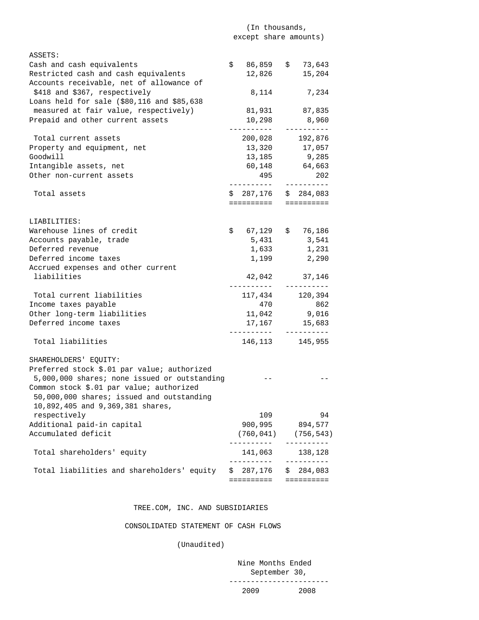# (In thousands, except share amounts)

| ASSETS:                                                  |    |                       |    |                       |
|----------------------------------------------------------|----|-----------------------|----|-----------------------|
| Cash and cash equivalents                                |    | $$86,859$ $$73,643$   |    |                       |
| Restricted cash and cash equivalents                     |    | 12,826                |    | 15,204                |
| Accounts receivable, net of allowance of                 |    |                       |    |                       |
| \$418 and \$367, respectively                            |    | 8,114                 |    | 7,234                 |
| Loans held for sale $(\$80, 116 \text{ and } \$85, 638)$ |    |                       |    |                       |
| measured at fair value, respectively)                    |    |                       |    | 81,931 87,835         |
| Prepaid and other current assets                         |    | 10,298                |    | 8,960                 |
|                                                          |    | . <u>.</u>            |    | ----------            |
| Total current assets                                     |    | 200,028 192,876       |    |                       |
| Property and equipment, net                              |    | 13,320 17,057         |    |                       |
| Goodwill                                                 |    |                       |    | 13, 185 9, 285        |
| Intangible assets, net                                   |    |                       |    | 60,148 64,663         |
| Other non-current assets                                 |    | 495                   |    | 202                   |
|                                                          |    | __________            |    | -----------           |
| Total assets                                             |    | $$287,176$ $$284,083$ |    |                       |
|                                                          |    | ==========            |    | ==========            |
|                                                          |    |                       |    |                       |
| LIABILITIES:                                             |    |                       |    |                       |
| Warehouse lines of credit                                |    | $$67,129$ \$ 76,186   |    |                       |
| Accounts payable, trade                                  |    | 5,431                 |    | 3,541                 |
| Deferred revenue                                         |    | 1,633                 |    | 1,231                 |
| Deferred income taxes                                    |    | 1,199                 |    | 2,290                 |
| Accrued expenses and other current                       |    |                       |    |                       |
| liabilities                                              |    |                       |    | 37,146                |
|                                                          |    | 42,042<br>----------- |    | __________            |
| Total current liabilities                                |    | 117,434 120,394       |    |                       |
| Income taxes payable                                     |    | 470                   |    | 862                   |
| Other long-term liabilities                              |    |                       |    | 11,042 9,016          |
| Deferred income taxes                                    |    |                       |    | 17, 167 15, 683       |
|                                                          |    |                       |    | $- - - - - - - - - -$ |
| Total liabilities                                        |    | 146,113               |    | 145,955               |
|                                                          |    |                       |    |                       |
| SHAREHOLDERS' EQUITY:                                    |    |                       |    |                       |
| Preferred stock \$.01 par value; authorized              |    |                       |    |                       |
| 5,000,000 shares; none issued or outstanding             |    |                       |    |                       |
|                                                          |    |                       |    |                       |
| Common stock \$.01 par value; authorized                 |    |                       |    |                       |
| 50,000,000 shares; issued and outstanding                |    |                       |    |                       |
| 10,892,405 and 9,369,381 shares,                         |    |                       |    |                       |
| respectively                                             |    | 109                   |    | 94                    |
| Additional paid-in capital                               |    | 900,995               |    | 894,577               |
| Accumulated deficit                                      |    | (760, 041)            |    | (756, 543)            |
|                                                          |    |                       |    | - - - - - - - - - -   |
| Total shareholders' equity                               |    | 141,063               |    | 138,128               |
|                                                          |    | -----------           |    | ----------            |
| Total liabilities and shareholders' equity               | S. | 287,176               | Ş. | 284,083               |
|                                                          |    | ==========            |    | ==========            |

# TREE.COM, INC. AND SUBSIDIARIES

CONSOLIDATED STATEMENT OF CASH FLOWS

(Unaudited)

 Nine Months Ended September 30, ----------------------- 2009 2008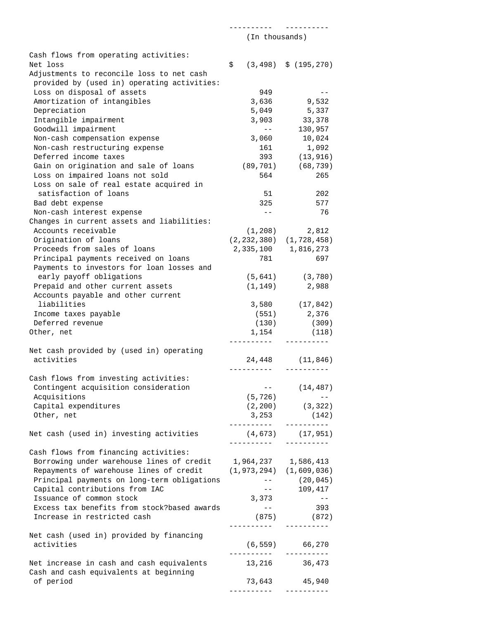|                                                               | (In thousands) |                                                                                                                                                                                                                                                                                                                                                                                                                                                                                  |  |  |
|---------------------------------------------------------------|----------------|----------------------------------------------------------------------------------------------------------------------------------------------------------------------------------------------------------------------------------------------------------------------------------------------------------------------------------------------------------------------------------------------------------------------------------------------------------------------------------|--|--|
|                                                               |                |                                                                                                                                                                                                                                                                                                                                                                                                                                                                                  |  |  |
| Cash flows from operating activities:                         |                |                                                                                                                                                                                                                                                                                                                                                                                                                                                                                  |  |  |
| Net loss                                                      | \$             | $(3, 498)$ \$ $(195, 270)$                                                                                                                                                                                                                                                                                                                                                                                                                                                       |  |  |
| Adjustments to reconcile loss to net cash                     |                |                                                                                                                                                                                                                                                                                                                                                                                                                                                                                  |  |  |
| provided by (used in) operating activities:                   |                |                                                                                                                                                                                                                                                                                                                                                                                                                                                                                  |  |  |
| Loss on disposal of assets                                    |                | 949<br>$- -$                                                                                                                                                                                                                                                                                                                                                                                                                                                                     |  |  |
| Amortization of intangibles                                   | 3,636          | 9,532                                                                                                                                                                                                                                                                                                                                                                                                                                                                            |  |  |
| Depreciation                                                  | 5,049          | 5,337                                                                                                                                                                                                                                                                                                                                                                                                                                                                            |  |  |
| Intangible impairment                                         | 3,903          | 33,378                                                                                                                                                                                                                                                                                                                                                                                                                                                                           |  |  |
| Goodwill impairment                                           |                | $- -$                                                                                                                                                                                                                                                                                                                                                                                                                                                                            |  |  |
|                                                               |                | 130,957                                                                                                                                                                                                                                                                                                                                                                                                                                                                          |  |  |
| Non-cash compensation expense                                 | 3,060          | 10,024                                                                                                                                                                                                                                                                                                                                                                                                                                                                           |  |  |
| Non-cash restructuring expense                                |                | 161<br>1,092                                                                                                                                                                                                                                                                                                                                                                                                                                                                     |  |  |
| Deferred income taxes                                         |                | 393<br>(13, 916)                                                                                                                                                                                                                                                                                                                                                                                                                                                                 |  |  |
| Gain on origination and sale of loans                         |                | (89, 701)<br>(68, 739)                                                                                                                                                                                                                                                                                                                                                                                                                                                           |  |  |
| Loss on impaired loans not sold                               |                | 564<br>265                                                                                                                                                                                                                                                                                                                                                                                                                                                                       |  |  |
| Loss on sale of real estate acquired in                       |                |                                                                                                                                                                                                                                                                                                                                                                                                                                                                                  |  |  |
| satisfaction of loans                                         |                | 51<br>202                                                                                                                                                                                                                                                                                                                                                                                                                                                                        |  |  |
| Bad debt expense                                              |                | 325<br>577                                                                                                                                                                                                                                                                                                                                                                                                                                                                       |  |  |
| Non-cash interest expense                                     |                | 76<br>$- -$                                                                                                                                                                                                                                                                                                                                                                                                                                                                      |  |  |
| Changes in current assets and liabilities:                    |                |                                                                                                                                                                                                                                                                                                                                                                                                                                                                                  |  |  |
| Accounts receivable                                           |                | (1, 208)<br>2,812                                                                                                                                                                                                                                                                                                                                                                                                                                                                |  |  |
| Origination of loans                                          |                | $(2, 232, 380)$ $(1, 728, 458)$                                                                                                                                                                                                                                                                                                                                                                                                                                                  |  |  |
| Proceeds from sales of loans                                  |                | 2, 335, 100 1, 816, 273                                                                                                                                                                                                                                                                                                                                                                                                                                                          |  |  |
| Principal payments received on loans                          |                | 697<br>781                                                                                                                                                                                                                                                                                                                                                                                                                                                                       |  |  |
| Payments to investors for loan losses and                     |                |                                                                                                                                                                                                                                                                                                                                                                                                                                                                                  |  |  |
| early payoff obligations                                      |                | $(5,641)$ $(3,780)$                                                                                                                                                                                                                                                                                                                                                                                                                                                              |  |  |
| Prepaid and other current assets                              | (1, 149)       | 2,988                                                                                                                                                                                                                                                                                                                                                                                                                                                                            |  |  |
| Accounts payable and other current                            |                |                                                                                                                                                                                                                                                                                                                                                                                                                                                                                  |  |  |
| liabilities                                                   |                |                                                                                                                                                                                                                                                                                                                                                                                                                                                                                  |  |  |
|                                                               |                | $3,580$ $(17,842)$                                                                                                                                                                                                                                                                                                                                                                                                                                                               |  |  |
| Income taxes payable                                          |                | (551)<br>2,376                                                                                                                                                                                                                                                                                                                                                                                                                                                                   |  |  |
| Deferred revenue                                              |                | (130)<br>(309)                                                                                                                                                                                                                                                                                                                                                                                                                                                                   |  |  |
| Other, net                                                    | 1,154          | (118)                                                                                                                                                                                                                                                                                                                                                                                                                                                                            |  |  |
|                                                               |                |                                                                                                                                                                                                                                                                                                                                                                                                                                                                                  |  |  |
| Net cash provided by (used in) operating                      |                |                                                                                                                                                                                                                                                                                                                                                                                                                                                                                  |  |  |
| activities                                                    |                | 24,448 (11,846)<br>----------                                                                                                                                                                                                                                                                                                                                                                                                                                                    |  |  |
|                                                               |                |                                                                                                                                                                                                                                                                                                                                                                                                                                                                                  |  |  |
| Cash flows from investing activities:                         |                |                                                                                                                                                                                                                                                                                                                                                                                                                                                                                  |  |  |
| Contingent acquisition consideration                          |                | $\frac{1}{2} \frac{1}{2} \left( \frac{1}{2} \right) \left( \frac{1}{2} \right) \left( \frac{1}{2} \right) \left( \frac{1}{2} \right) \left( \frac{1}{2} \right) \left( \frac{1}{2} \right) \left( \frac{1}{2} \right) \left( \frac{1}{2} \right) \left( \frac{1}{2} \right) \left( \frac{1}{2} \right) \left( \frac{1}{2} \right) \left( \frac{1}{2} \right) \left( \frac{1}{2} \right) \left( \frac{1}{2} \right) \left( \frac{1}{2} \right) \left( \frac{1}{2} \$<br>(14, 487) |  |  |
| Acquisitions                                                  |                | (5, 726)<br>$\mathcal{L}=\mathcal{L}=\mathcal{L}$                                                                                                                                                                                                                                                                                                                                                                                                                                |  |  |
| Capital expenditures                                          |                | $(2, 200)$ $(3, 322)$                                                                                                                                                                                                                                                                                                                                                                                                                                                            |  |  |
| Other, net                                                    |                | $3,253$ (142)                                                                                                                                                                                                                                                                                                                                                                                                                                                                    |  |  |
|                                                               |                | ----------                                                                                                                                                                                                                                                                                                                                                                                                                                                                       |  |  |
| Net cash (used in) investing activities                       |                | $(4, 673)$ $(17, 951)$                                                                                                                                                                                                                                                                                                                                                                                                                                                           |  |  |
|                                                               | __________     | ----------                                                                                                                                                                                                                                                                                                                                                                                                                                                                       |  |  |
| Cash flows from financing activities:                         |                |                                                                                                                                                                                                                                                                                                                                                                                                                                                                                  |  |  |
| Borrowing under warehouse lines of credit 1,964,237 1,586,413 |                |                                                                                                                                                                                                                                                                                                                                                                                                                                                                                  |  |  |
| Repayments of warehouse lines of credit                       |                | $(1, 973, 294)$ $(1, 609, 036)$                                                                                                                                                                                                                                                                                                                                                                                                                                                  |  |  |
| Principal payments on long-term obligations                   |                | (20, 045)<br>$--$                                                                                                                                                                                                                                                                                                                                                                                                                                                                |  |  |
| Capital contributions from IAC                                |                | 109,417<br>$---$                                                                                                                                                                                                                                                                                                                                                                                                                                                                 |  |  |
| Issuance of common stock                                      | 3,373          | $- -$                                                                                                                                                                                                                                                                                                                                                                                                                                                                            |  |  |
| Excess tax benefits from stock?based awards                   |                | 393<br>$ -$                                                                                                                                                                                                                                                                                                                                                                                                                                                                      |  |  |
| Increase in restricted cash                                   |                | $(875)$ (872)                                                                                                                                                                                                                                                                                                                                                                                                                                                                    |  |  |
|                                                               |                | ----------                                                                                                                                                                                                                                                                                                                                                                                                                                                                       |  |  |
| Net cash (used in) provided by financing                      |                |                                                                                                                                                                                                                                                                                                                                                                                                                                                                                  |  |  |
| activities                                                    |                | $(6, 559)$ 66,270                                                                                                                                                                                                                                                                                                                                                                                                                                                                |  |  |
|                                                               |                | ----------                                                                                                                                                                                                                                                                                                                                                                                                                                                                       |  |  |
| Net increase in cash and cash equivalents                     |                | 13, 216 36, 473                                                                                                                                                                                                                                                                                                                                                                                                                                                                  |  |  |
| Cash and cash equivalents at beginning                        |                |                                                                                                                                                                                                                                                                                                                                                                                                                                                                                  |  |  |
| of period                                                     |                | 73,643 45,940                                                                                                                                                                                                                                                                                                                                                                                                                                                                    |  |  |
|                                                               | __________     | ----------                                                                                                                                                                                                                                                                                                                                                                                                                                                                       |  |  |

---------- ----------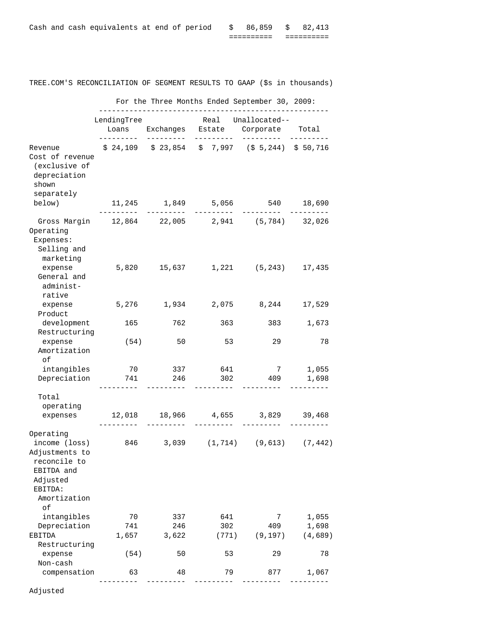|  | Cash and cash equivalents at end of period |  |  | \$ 86,859 \$ 82,413<br>__________ |            |
|--|--------------------------------------------|--|--|-----------------------------------|------------|
|  |                                            |  |  | __________                        | ---------- |

| TREE.COM'S RECONCILIATION OF SEGMENT RESULTS TO GAAP (\$8 1n thousands)                                    |                           |              |              |                                                              |                  |
|------------------------------------------------------------------------------------------------------------|---------------------------|--------------|--------------|--------------------------------------------------------------|------------------|
|                                                                                                            |                           |              |              | For the Three Months Ended September 30, 2009:               |                  |
|                                                                                                            | LendingTree<br>---------- | _________    | _________    | Real Unallocated--<br>Loans Exchanges Estate Corporate Total |                  |
| Revenue<br>Cost of revenue<br>(exclusive of<br>depreciation<br>shown<br>separately                         |                           |              |              | $$24,109$ $$23,854$ $$7,997$ $$5,244$ $$50,716$              |                  |
| below)                                                                                                     | $---$                     | _________    |              | 11,245 1,849 5,056 540 18,690                                |                  |
| Gross Margin  12,864  22,005  2,941  (5,784)  32,026<br>Operating<br>Expenses:<br>Selling and<br>marketing |                           |              |              |                                                              |                  |
| expense<br>General and<br>administ-<br>rative                                                              |                           |              |              | 5,820  15,637  1,221  (5,243)  17,435                        |                  |
| expense 5,276 1,934 2,075 8,244 17,529<br>Product                                                          |                           |              |              |                                                              |                  |
| development<br>Restructuring                                                                               |                           | 165          |              | 762 363 383                                                  | 1,673            |
| expense<br>Amortization<br>оf                                                                              |                           | (54)<br>50   | 53           | 29                                                           | 78               |
| intangibles<br>Depreciation 741                                                                            | 70                        | 337<br>246   | 641<br>302   | $7\overline{ }$<br>409                                       | 1,055<br>1,698   |
| Total<br>operating                                                                                         |                           |              |              |                                                              |                  |
| expenses                                                                                                   | _________                 | _________    | _________    | 12,018 18,966 4,655 3,829 39,468                             |                  |
| Operating<br>income (loss)<br>Adjustments to<br>reconcile to<br>EBITDA and<br>Adjusted<br>EBITDA:          | 846                       | 3,039        | (1, 714)     | (9, 613)                                                     | (7, 442)         |
| Amortization<br>оf                                                                                         |                           |              |              |                                                              |                  |
| intangibles                                                                                                | 70                        | 337          | 641          | 7                                                            | 1,055            |
| Depreciation<br>EBITDA                                                                                     | 741<br>1,657              | 246<br>3,622 | 302<br>(771) | 409<br>(9, 197)                                              | 1,698<br>(4,689) |
| Restructuring<br>expense<br>Non-cash                                                                       | (54)                      | 50           | 53           | 29                                                           | 78               |
| compensation                                                                                               | 63                        | 48           | 79           | 877                                                          | 1,067            |
|                                                                                                            |                           |              |              |                                                              |                  |

RECONCILIATION OF SEGMENT RESULTS TO GAAP (\$s in thousands)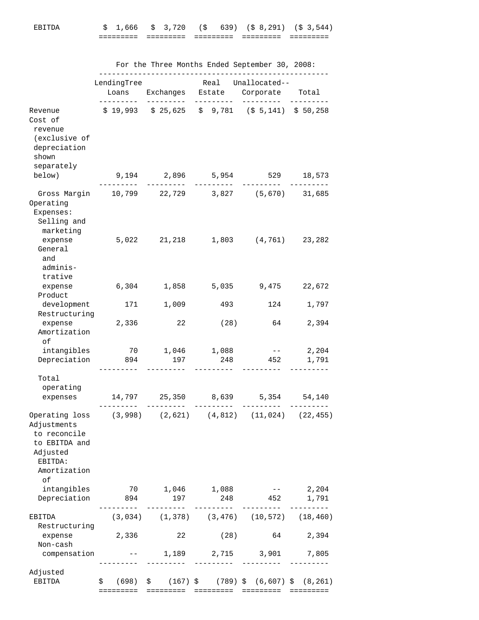# EBITDA \$ 1,666 \$ 3,720 (\$ 639) (\$ 8,291) (\$ 3,544) ========= ========= ========= ========= =========

|                                                                                                                                                       | For the Three Months Ended September 30, 2008: |                                    |                       |                                                                                                                       |                |  |  |  |  |
|-------------------------------------------------------------------------------------------------------------------------------------------------------|------------------------------------------------|------------------------------------|-----------------------|-----------------------------------------------------------------------------------------------------------------------|----------------|--|--|--|--|
|                                                                                                                                                       | LendingTree<br>Loans                           |                                    | Real                  | Unallocated--<br>Exchanges Estate Corporate Total                                                                     |                |  |  |  |  |
| Revenue<br>Cost of<br>revenue<br>(exclusive of<br>depreciation<br>shown<br>separately                                                                 |                                                |                                    |                       | $$19,993$ $$25,625$ $$9,781$ $$5,141)$ $$50,258$                                                                      |                |  |  |  |  |
| below)                                                                                                                                                |                                                | - - - - - - -                      |                       | 9,194 2,896 5,954 529 18,573                                                                                          |                |  |  |  |  |
| Gross Margin 10,799 22,729 3,827 (5,670) 31,685<br>Operating<br>Expenses:<br>Selling and<br>marketing                                                 |                                                |                                    |                       |                                                                                                                       |                |  |  |  |  |
| expense<br>General<br>and<br>adminis-<br>trative                                                                                                      |                                                |                                    |                       | 5,022 21,218 1,803 (4,761) 23,282                                                                                     |                |  |  |  |  |
| expense<br>Product                                                                                                                                    | 6,304                                          | 1,858                              | 5,035                 | 9,475                                                                                                                 | 22,672         |  |  |  |  |
| development<br>Restructuring                                                                                                                          | 171                                            | 1,009                              | 493                   | 124                                                                                                                   | 1,797          |  |  |  |  |
| expense<br>Amortization<br>оf                                                                                                                         | 2,336                                          | 22                                 | (28)                  | 64                                                                                                                    | 2,394          |  |  |  |  |
| intangibles<br>Depreciation                                                                                                                           | 894                                            | 70 1,046 1,088<br>197              | 248                   | $\alpha_{\rm{max}}=1.00$<br>452                                                                                       | 2,204<br>1,791 |  |  |  |  |
| Total<br>operating<br>expenses                                                                                                                        |                                                | 14,797 25,350<br>_________         | 8,639<br>_________    | 5,354 54,140<br>.                                                                                                     | ----------     |  |  |  |  |
| Operating loss (3,998) (2,621) (4,812) (11,024) (22,455)<br>Adjustments<br>to reconcile<br>to EBITDA and<br>Adjusted<br>EBITDA:<br>Amortization<br>оf |                                                |                                    |                       |                                                                                                                       |                |  |  |  |  |
| intangibles<br>Depreciation                                                                                                                           | 894                                            | 70 1,046 1,088<br>197<br>_________ |                       | $--- 2,204$<br>248 452                                                                                                | 1,791          |  |  |  |  |
| EBITDA<br>Restructuring                                                                                                                               | . _ _ _ _ _ _ _                                |                                    | _________             | _________<br>$(3,034)$ $(1,378)$ $(3,476)$ $(10,572)$ $(18,460)$                                                      | ----------     |  |  |  |  |
| expense<br>Non-cash<br>compensation                                                                                                                   | 2,336                                          | 22                                 | (28)                  | 64<br>$--$ 1,189 2,715 3,901 7,805                                                                                    | 2,394          |  |  |  |  |
| Adjusted<br>EBITDA                                                                                                                                    |                                                | _________                          | <u>_________</u> ____ | __________<br>$\frac{1}{5}$ (698) $\frac{1}{5}$ (167) $\frac{1}{5}$ (789) $\frac{1}{5}$ (6,607) $\frac{1}{5}$ (8,261) |                |  |  |  |  |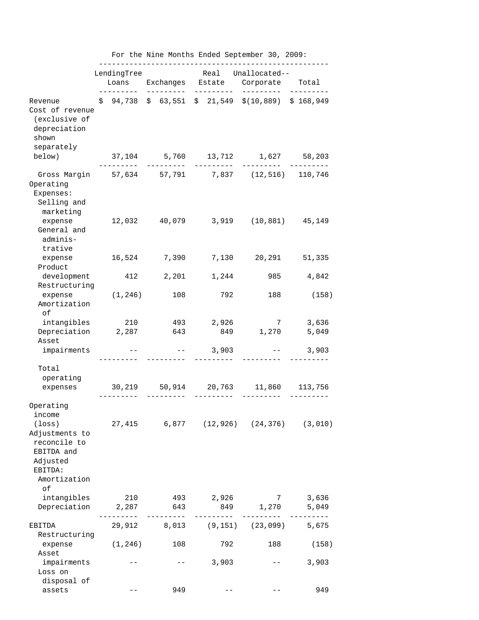|                                                                                                         |                                                | For the Nine Months Ended September 30, 2009:                                                                                                  |                    |                                                                          |           |  |  |  |
|---------------------------------------------------------------------------------------------------------|------------------------------------------------|------------------------------------------------------------------------------------------------------------------------------------------------|--------------------|--------------------------------------------------------------------------|-----------|--|--|--|
|                                                                                                         |                                                |                                                                                                                                                |                    | LendingTree Real Unallocated--<br>Loans Exchanges Estate Corporate Total |           |  |  |  |
| Revenue<br>Cost of revenue<br>(exclusive of<br>depreciation<br>shown                                    | ----------                                     | ----------                                                                                                                                     |                    | $$94,738$$ $$63,551$$ $$21,549$$ $$(10,889)$$ $$168,949$                 |           |  |  |  |
| separately<br>below)                                                                                    | ________                                       |                                                                                                                                                |                    | 37,104 5,760 13,712 1,627 58,203                                         |           |  |  |  |
| Gross Margin 57,634 57,791 7,837 (12,516) 110,746<br>Operating<br>Expenses:<br>Selling and<br>marketing |                                                |                                                                                                                                                |                    |                                                                          |           |  |  |  |
| expense<br>General and<br>adminis-<br>trative                                                           |                                                |                                                                                                                                                |                    | 12,032 40,079 3,919 (10,881) 45,149                                      |           |  |  |  |
| expense<br>Product                                                                                      |                                                |                                                                                                                                                |                    | 16,524 7,390 7,130 20,291 51,335                                         |           |  |  |  |
| Restructuring                                                                                           | development 412 2,201 1,244 985 4,842          |                                                                                                                                                |                    |                                                                          |           |  |  |  |
| expense<br>Amortization<br>οf                                                                           |                                                |                                                                                                                                                | $(1, 246)$ 108 792 | 188                                                                      | (158)     |  |  |  |
| Depreciation 2,287 643 849 1,270 5,049                                                                  | intangibles 210 493 2,926 7 3,636              |                                                                                                                                                |                    |                                                                          |           |  |  |  |
| Asset<br>impairments                                                                                    |                                                |                                                                                                                                                | ----------         | $- --$ 3,903 $--$ 3,903                                                  |           |  |  |  |
| Total<br>operating                                                                                      | expenses 30,219 50,914 20,763 11,860 113,756   |                                                                                                                                                |                    |                                                                          |           |  |  |  |
| Operating                                                                                               |                                                |                                                                                                                                                |                    |                                                                          |           |  |  |  |
| income<br>$(\texttt{loss})$<br>Adjustments to<br>reconcile to<br>EBITDA and<br>Adjusted<br>EBITDA:      | 27,415   6,877   (12,926)   (24,376)   (3,010) |                                                                                                                                                |                    |                                                                          |           |  |  |  |
| Amortization<br>οf                                                                                      |                                                |                                                                                                                                                |                    |                                                                          |           |  |  |  |
| intangibles<br>Depreciation 2,287 643 849 1,270 5,049                                                   |                                                |                                                                                                                                                |                    | 210 493 2,926 7 3,636                                                    |           |  |  |  |
| EBITDA<br>Restructuring                                                                                 | __________                                     |                                                                                                                                                |                    | 29,912 8,013 (9,151) (23,099) 5,675                                      | --------- |  |  |  |
| expense<br>Asset                                                                                        |                                                | $(1, 246)$ 108                                                                                                                                 |                    | 792<br>188                                                               | (158)     |  |  |  |
| impairments<br>Loss on                                                                                  |                                                | $\frac{1}{2} \frac{1}{2} \left( \frac{1}{2} \frac{1}{2} \right) \left( \frac{1}{2} \frac{1}{2} \right) \left( \frac{1}{2} \frac{1}{2} \right)$ | $-- 3,903$         | $\alpha = -1$ , and $\alpha = 1$                                         | 3,903     |  |  |  |
| disposal of<br>assets                                                                                   |                                                | 949                                                                                                                                            |                    |                                                                          | 949       |  |  |  |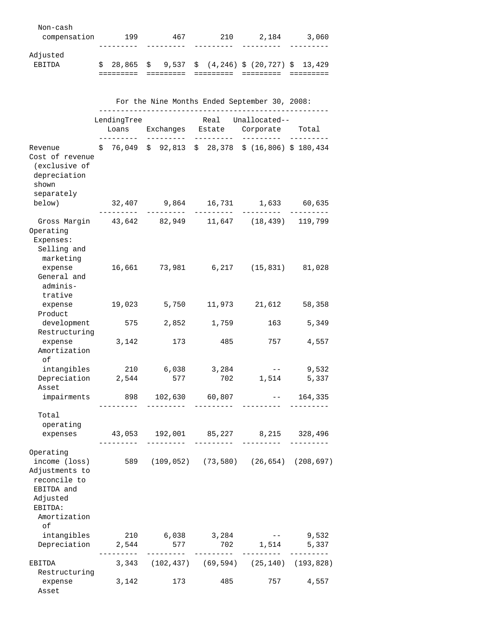| Non-cash<br>compensation  | 199          | 467 | 210 | 2,184                                          | 3,060 |
|---------------------------|--------------|-----|-----|------------------------------------------------|-------|
| Adjusted<br><b>ERTTDA</b> | $$28.865$ \$ |     |     | $9,537 \div (4,246) \div (20,727) \div 13,429$ |       |

|                                                                                                                         | For the Nine Months Ended September 30, 2008:         |              |                    |                                                                                                                                                                                                                                                                                                                                                                                                                                                                          |                |  |  |  |
|-------------------------------------------------------------------------------------------------------------------------|-------------------------------------------------------|--------------|--------------------|--------------------------------------------------------------------------------------------------------------------------------------------------------------------------------------------------------------------------------------------------------------------------------------------------------------------------------------------------------------------------------------------------------------------------------------------------------------------------|----------------|--|--|--|
|                                                                                                                         | LendingTree<br>Loans Exchanges Estate Corporate Total |              |                    | Real Unallocated--                                                                                                                                                                                                                                                                                                                                                                                                                                                       |                |  |  |  |
| Revenue<br>Cost of revenue<br>(exclusive of<br>depreciation<br>shown<br>separately                                      | _________                                             | _________    |                    | $$76,049$ $$92,813$ $$28,378$ $$(16,806)$ $$180,434$                                                                                                                                                                                                                                                                                                                                                                                                                     |                |  |  |  |
| below)                                                                                                                  |                                                       |              |                    | 32,407 9,864 16,731 1,633 60,635                                                                                                                                                                                                                                                                                                                                                                                                                                         |                |  |  |  |
| Gross Margin 43,642 82,949 11,647 (18,439) 119,799<br>Operating<br>Expenses:<br>Selling and<br>marketing                |                                                       |              |                    |                                                                                                                                                                                                                                                                                                                                                                                                                                                                          |                |  |  |  |
| expense<br>General and<br>adminis-<br>trative                                                                           |                                                       |              |                    | 16,661 73,981 6,217 (15,831) 81,028                                                                                                                                                                                                                                                                                                                                                                                                                                      |                |  |  |  |
| expense<br>Product                                                                                                      |                                                       | 19,023 5,750 |                    | 11,973 21,612 58,358                                                                                                                                                                                                                                                                                                                                                                                                                                                     |                |  |  |  |
| development<br>Restructuring                                                                                            | 575                                                   | 2,852        | 1,759              | 163 — 163                                                                                                                                                                                                                                                                                                                                                                                                                                                                | 5,349          |  |  |  |
| expense<br>Amortization<br>оf                                                                                           | 3,142                                                 | 173          | 485                | 757                                                                                                                                                                                                                                                                                                                                                                                                                                                                      | 4,557          |  |  |  |
| intangibles 210 6,038 3,284<br>Depreciation 2,544<br>Asset                                                              |                                                       | 577          |                    | $\mathcal{L}(\mathcal{L}(\mathcal{L}(\mathcal{L}(\mathcal{L}(\mathcal{L}(\mathcal{L}(\mathcal{L}(\mathcal{L}(\mathcal{L}(\mathcal{L}(\mathcal{L}(\mathcal{L}(\mathcal{L}(\mathcal{L}(\mathcal{L}(\mathcal{L}(\mathcal{L}(\mathcal{L}(\mathcal{L}(\mathcal{L}(\mathcal{L}(\mathcal{L}(\mathcal{L}(\mathcal{L}(\mathcal{L}(\mathcal{L}(\mathcal{L}(\mathcal{L}(\mathcal{L}(\mathcal{L}(\mathcal{L}(\mathcal{L}(\mathcal{L}(\mathcal{L}(\mathcal{L}(\mathcal{$<br>702 1,514 | 9,532<br>5,337 |  |  |  |
| impairments                                                                                                             |                                                       |              | 898 102,630 60,807 | $-- 164,335$                                                                                                                                                                                                                                                                                                                                                                                                                                                             |                |  |  |  |
| Total<br>operating                                                                                                      |                                                       |              |                    |                                                                                                                                                                                                                                                                                                                                                                                                                                                                          |                |  |  |  |
| expenses 43,053 192,001 85,227 8,215 328,496                                                                            |                                                       | ---------    | ---------          |                                                                                                                                                                                                                                                                                                                                                                                                                                                                          |                |  |  |  |
| Operating<br>income (loss)<br>Adjustments to<br>reconcile to<br>EBITDA and<br>Adjusted<br>EBITDA:<br>Amortization<br>of |                                                       |              |                    | 589 (109,052) (73,580) (26,654) (208,697)                                                                                                                                                                                                                                                                                                                                                                                                                                |                |  |  |  |
| intangibles                                                                                                             | 210                                                   | 6,038        | 3,284              | and the state of the state of the                                                                                                                                                                                                                                                                                                                                                                                                                                        | 9,532          |  |  |  |
| Depreciation                                                                                                            | 2,544                                                 | 577          | 702                |                                                                                                                                                                                                                                                                                                                                                                                                                                                                          | 1,514 5,337    |  |  |  |
| EBITDA<br>Restructuring                                                                                                 |                                                       |              |                    | 3,343 (102,437) (69,594) (25,140) (193,828)                                                                                                                                                                                                                                                                                                                                                                                                                              |                |  |  |  |
| expense<br>Asset                                                                                                        | 3,142                                                 | 173          | 485                | 757                                                                                                                                                                                                                                                                                                                                                                                                                                                                      | 4,557          |  |  |  |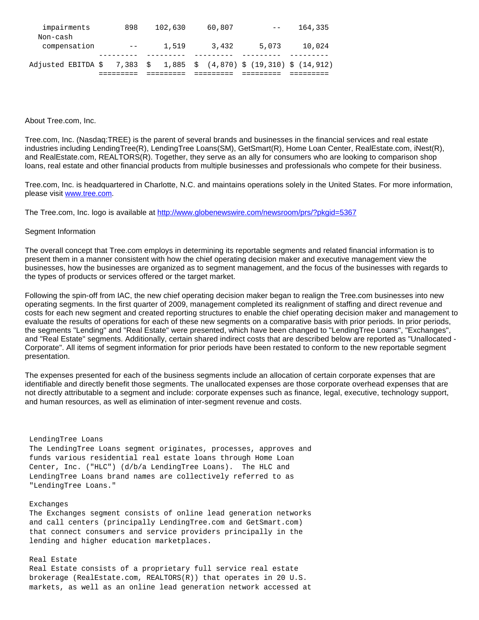| impairments        | 898      | 102,630 | 60,807 |                                                           | 164,335 |
|--------------------|----------|---------|--------|-----------------------------------------------------------|---------|
| Non-cash           |          |         |        |                                                           |         |
| compensation       | $- -$    | 1,519   | 3,432  | 5,073                                                     | 10,024  |
|                    |          |         |        |                                                           |         |
| Adjusted EBITDA \$ | 7,383 \$ |         |        | $1,885 \quad $ (4,870) \quad $ (19,310) \quad $ (14,912)$ |         |
|                    |          |         |        |                                                           |         |

### About Tree.com, Inc.

Tree.com, Inc. (Nasdaq:TREE) is the parent of several brands and businesses in the financial services and real estate industries including LendingTree(R), LendingTree Loans(SM), GetSmart(R), Home Loan Center, RealEstate.com, iNest(R), and RealEstate.com, REALTORS(R). Together, they serve as an ally for consumers who are looking to comparison shop loans, real estate and other financial products from multiple businesses and professionals who compete for their business.

Tree.com, Inc. is headquartered in Charlotte, N.C. and maintains operations solely in the United States. For more information, please visit [www.tree.com.](http://www.tree.com/)

The Tree.com, Inc. logo is available at<http://www.globenewswire.com/newsroom/prs/?pkgid=5367>

### Segment Information

The overall concept that Tree.com employs in determining its reportable segments and related financial information is to present them in a manner consistent with how the chief operating decision maker and executive management view the businesses, how the businesses are organized as to segment management, and the focus of the businesses with regards to the types of products or services offered or the target market.

Following the spin-off from IAC, the new chief operating decision maker began to realign the Tree.com businesses into new operating segments. In the first quarter of 2009, management completed its realignment of staffing and direct revenue and costs for each new segment and created reporting structures to enable the chief operating decision maker and management to evaluate the results of operations for each of these new segments on a comparative basis with prior periods. In prior periods, the segments "Lending" and "Real Estate" were presented, which have been changed to "LendingTree Loans", "Exchanges", and "Real Estate" segments. Additionally, certain shared indirect costs that are described below are reported as "Unallocated - Corporate". All items of segment information for prior periods have been restated to conform to the new reportable segment presentation.

The expenses presented for each of the business segments include an allocation of certain corporate expenses that are identifiable and directly benefit those segments. The unallocated expenses are those corporate overhead expenses that are not directly attributable to a segment and include: corporate expenses such as finance, legal, executive, technology support, and human resources, as well as elimination of inter-segment revenue and costs.

#### LendingTree Loans

 The LendingTree Loans segment originates, processes, approves and funds various residential real estate loans through Home Loan Center, Inc. ("HLC") (d/b/a LendingTree Loans). The HLC and LendingTree Loans brand names are collectively referred to as "LendingTree Loans."

#### Exchanges

 The Exchanges segment consists of online lead generation networks and call centers (principally LendingTree.com and GetSmart.com) that connect consumers and service providers principally in the lending and higher education marketplaces.

#### Real Estate

 Real Estate consists of a proprietary full service real estate brokerage (RealEstate.com, REALTORS(R)) that operates in 20 U.S. markets, as well as an online lead generation network accessed at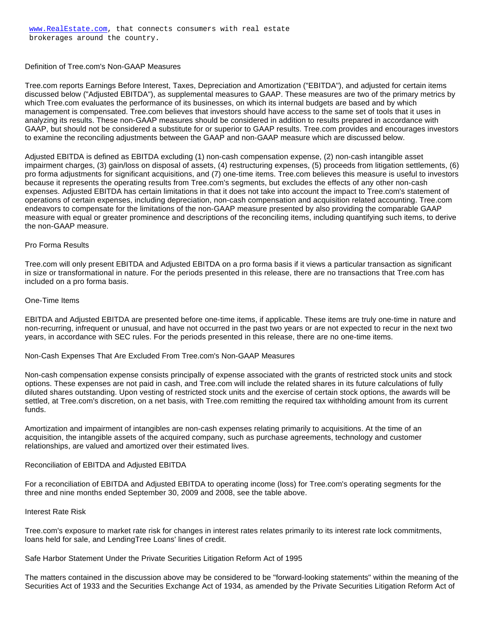Definition of Tree.com's Non-GAAP Measures

Tree.com reports Earnings Before Interest, Taxes, Depreciation and Amortization ("EBITDA"), and adjusted for certain items discussed below ("Adjusted EBITDA"), as supplemental measures to GAAP. These measures are two of the primary metrics by which Tree.com evaluates the performance of its businesses, on which its internal budgets are based and by which management is compensated. Tree.com believes that investors should have access to the same set of tools that it uses in analyzing its results. These non-GAAP measures should be considered in addition to results prepared in accordance with GAAP, but should not be considered a substitute for or superior to GAAP results. Tree.com provides and encourages investors to examine the reconciling adjustments between the GAAP and non-GAAP measure which are discussed below.

Adjusted EBITDA is defined as EBITDA excluding (1) non-cash compensation expense, (2) non-cash intangible asset impairment charges, (3) gain/loss on disposal of assets, (4) restructuring expenses, (5) proceeds from litigation settlements, (6) pro forma adjustments for significant acquisitions, and (7) one-time items. Tree.com believes this measure is useful to investors because it represents the operating results from Tree.com's segments, but excludes the effects of any other non-cash expenses. Adjusted EBITDA has certain limitations in that it does not take into account the impact to Tree.com's statement of operations of certain expenses, including depreciation, non-cash compensation and acquisition related accounting. Tree.com endeavors to compensate for the limitations of the non-GAAP measure presented by also providing the comparable GAAP measure with equal or greater prominence and descriptions of the reconciling items, including quantifying such items, to derive the non-GAAP measure.

# Pro Forma Results

Tree.com will only present EBITDA and Adjusted EBITDA on a pro forma basis if it views a particular transaction as significant in size or transformational in nature. For the periods presented in this release, there are no transactions that Tree.com has included on a pro forma basis.

# One-Time Items

EBITDA and Adjusted EBITDA are presented before one-time items, if applicable. These items are truly one-time in nature and non-recurring, infrequent or unusual, and have not occurred in the past two years or are not expected to recur in the next two years, in accordance with SEC rules. For the periods presented in this release, there are no one-time items.

Non-Cash Expenses That Are Excluded From Tree.com's Non-GAAP Measures

Non-cash compensation expense consists principally of expense associated with the grants of restricted stock units and stock options. These expenses are not paid in cash, and Tree.com will include the related shares in its future calculations of fully diluted shares outstanding. Upon vesting of restricted stock units and the exercise of certain stock options, the awards will be settled, at Tree.com's discretion, on a net basis, with Tree.com remitting the required tax withholding amount from its current funds.

Amortization and impairment of intangibles are non-cash expenses relating primarily to acquisitions. At the time of an acquisition, the intangible assets of the acquired company, such as purchase agreements, technology and customer relationships, are valued and amortized over their estimated lives.

# Reconciliation of EBITDA and Adjusted EBITDA

For a reconciliation of EBITDA and Adjusted EBITDA to operating income (loss) for Tree.com's operating segments for the three and nine months ended September 30, 2009 and 2008, see the table above.

# Interest Rate Risk

Tree.com's exposure to market rate risk for changes in interest rates relates primarily to its interest rate lock commitments, loans held for sale, and LendingTree Loans' lines of credit.

Safe Harbor Statement Under the Private Securities Litigation Reform Act of 1995

The matters contained in the discussion above may be considered to be "forward-looking statements" within the meaning of the Securities Act of 1933 and the Securities Exchange Act of 1934, as amended by the Private Securities Litigation Reform Act of